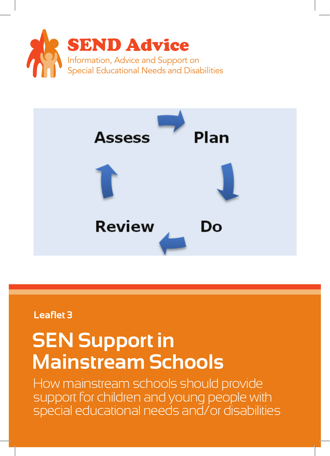



## **Leaflet 3**

# **SEN Support in Mainstream Schools**

How mainstream schools should provide support for children and young people with special educational needs and/or disabilities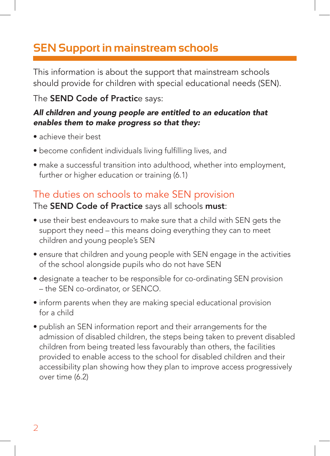# **SEN Support in mainstream schools**

This information is about the support that mainstream schools should provide for children with special educational needs (SEN).

#### The SEND Code of Practice says:

#### *All children and young people are entitled to an education that enables them to make progress so that they:*

- achieve their best
- become confident individuals living fulfilling lives, and
- make a successful transition into adulthood, whether into employment, further or higher education or training (6.1)

## The duties on schools to make SEN provision

#### The SEND Code of Practice says all schools must:

- use their best endeavours to make sure that a child with SEN gets the support they need – this means doing everything they can to meet children and young people's SEN
- ensure that children and young people with SEN engage in the activities of the school alongside pupils who do not have SEN
- designate a teacher to be responsible for co-ordinating SEN provision – the SEN co-ordinator, or SENCO.
- inform parents when they are making special educational provision for a child
- publish an SEN information report and their arrangements for the admission of disabled children, the steps being taken to prevent disabled children from being treated less favourably than others, the facilities provided to enable access to the school for disabled children and their accessibility plan showing how they plan to improve access progressively over time (6.2)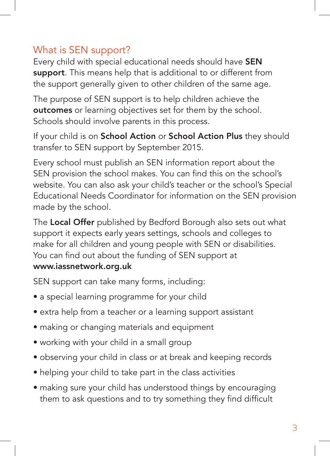## What is SEN support?

Every child with special educational needs should have SEN support. This means help that is additional to or different from the support generally given to other children of the same age.

The purpose of SEN support is to help children achieve the **outcomes** or learning objectives set for them by the school. Schools should involve parents in this process.

If your child is on School Action or School Action Plus they should transfer to SEN support by September 2015.

Every school must publish an SEN information report about the SEN provision the school makes. You can find this on the school's website. You can also ask your child's teacher or the school's Special Educational Needs Coordinator for information on the SEN provision made by the school.

The Local Offer published by Bedford Borough also sets out what support it expects early years settings, schools and colleges to make for all children and young people with SEN or disabilities. You can find out about the funding of SEN support at www.iassnetwork.org.uk

SEN support can take many forms, including:

- a special learning programme for your child
- extra help from a teacher or a learning support assistant
- making or changing materials and equipment
- working with your child in a small group
- observing your child in class or at break and keeping records
- helping your child to take part in the class activities
- making sure your child has understood things by encouraging them to ask questions and to try something they find difficult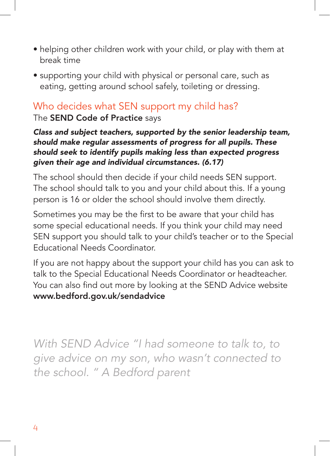- helping other children work with your child, or play with them at break time
- supporting your child with physical or personal care, such as eating, getting around school safely, toileting or dressing.

## Who decides what SEN support my child has?

The SEND Code of Practice says

*Class and subject teachers, supported by the senior leadership team, should make regular assessments of progress for all pupils. These should seek to identify pupils making less than expected progress given their age and individual circumstances. (6.17)*

The school should then decide if your child needs SEN support. The school should talk to you and your child about this. If a young person is 16 or older the school should involve them directly.

Sometimes you may be the first to be aware that your child has some special educational needs. If you think your child may need SEN support you should talk to your child's teacher or to the Special Educational Needs Coordinator.

If you are not happy about the support your child has you can ask to talk to the Special Educational Needs Coordinator or headteacher. You can also find out more by looking at the SEND Advice website www.bedford.gov.uk/sendadvice

*With SEND Advice "I had someone to talk to, to give advice on my son, who wasn't connected to the school. " A Bedford parent*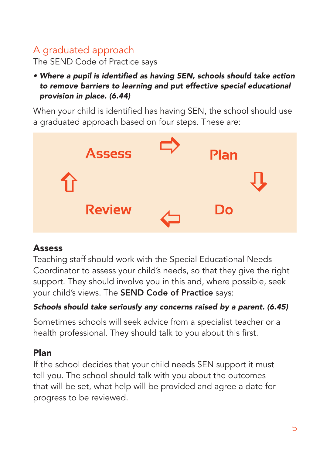## A graduated approach

The SEND Code of Practice says

• Where a pupil is identified as having SEN, schools should take action *to remove barriers to learning and put effective special educational provision in place. (6.44)*

When your child is identified has having SEN, the school should use a graduated approach based on four steps. These are:



#### **Assess**

Teaching staff should work with the Special Educational Needs Coordinator to assess your child's needs, so that they give the right support. They should involve you in this and, where possible, seek your child's views. The SEND Code of Practice says:

#### Schools should take seriously any concerns raised by a parent. (6.45)

Sometimes schools will seek advice from a specialist teacher or a health professional. They should talk to you about this first.

#### Plan

If the school decides that your child needs SEN support it must tell you. The school should talk with you about the outcomes that will be set, what help will be provided and agree a date for progress to be reviewed.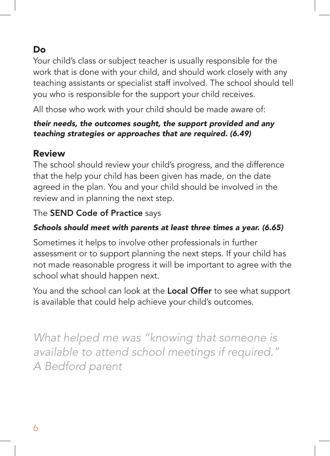## Do

Your child's class or subject teacher is usually responsible for the work that is done with your child, and should work closely with any teaching assistants or specialist staff involved. The school should tell you who is responsible for the support your child receives.

All those who work with your child should be made aware of:

#### *their needs, the outcomes sought, the support provided and any teaching strategies or approaches that are required. (6.49)*

#### Review

The school should review your child's progress, and the difference that the help your child has been given has made, on the date agreed in the plan. You and your child should be involved in the review and in planning the next step.

#### The SEND Code of Practice says

#### Schools should meet with parents at least three times a year. (6.65)

Sometimes it helps to involve other professionals in further assessment or to support planning the next steps. If your child has not made reasonable progress it will be important to agree with the school what should happen next.

You and the school can look at the **Local Offer** to see what support is available that could help achieve your child's outcomes.

*What helped me was "knowing that someone is available to attend school meetings if required." A Bedford parent*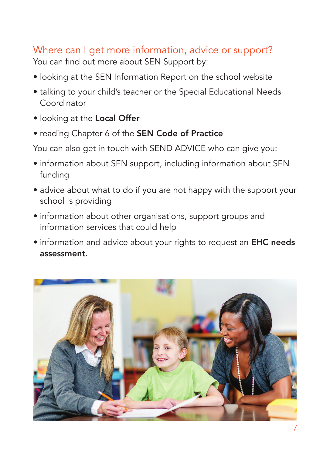# Where can I get more information, advice or support?

You can find out more about SEN Support by:

- looking at the SEN Information Report on the school website
- talking to your child's teacher or the Special Educational Needs **Coordinator**
- looking at the Local Offer
- reading Chapter 6 of the SEN Code of Practice

You can also get in touch with SEND ADVICE who can give you:

- information about SEN support, including information about SEN funding
- advice about what to do if you are not happy with the support your school is providing
- information about other organisations, support groups and information services that could help
- information and advice about your rights to request an **EHC needs** assessment.